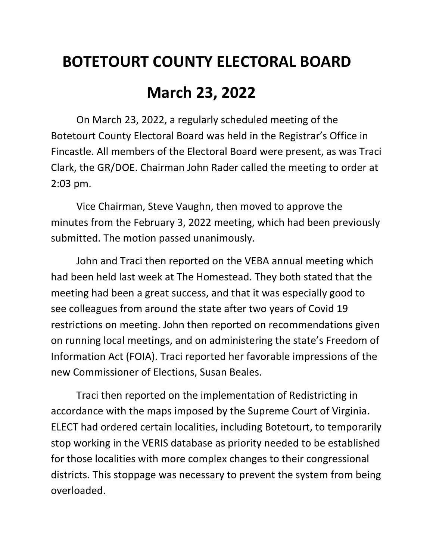## **BOTETOURT COUNTY ELECTORAL BOARD**

## **March 23, 2022**

On March 23, 2022, a regularly scheduled meeting of the Botetourt County Electoral Board was held in the Registrar's Office in Fincastle. All members of the Electoral Board were present, as was Traci Clark, the GR/DOE. Chairman John Rader called the meeting to order at 2:03 pm.

Vice Chairman, Steve Vaughn, then moved to approve the minutes from the February 3, 2022 meeting, which had been previously submitted. The motion passed unanimously.

John and Traci then reported on the VEBA annual meeting which had been held last week at The Homestead. They both stated that the meeting had been a great success, and that it was especially good to see colleagues from around the state after two years of Covid 19 restrictions on meeting. John then reported on recommendations given on running local meetings, and on administering the state's Freedom of Information Act (FOIA). Traci reported her favorable impressions of the new Commissioner of Elections, Susan Beales.

Traci then reported on the implementation of Redistricting in accordance with the maps imposed by the Supreme Court of Virginia. ELECT had ordered certain localities, including Botetourt, to temporarily stop working in the VERIS database as priority needed to be established for those localities with more complex changes to their congressional districts. This stoppage was necessary to prevent the system from being overloaded.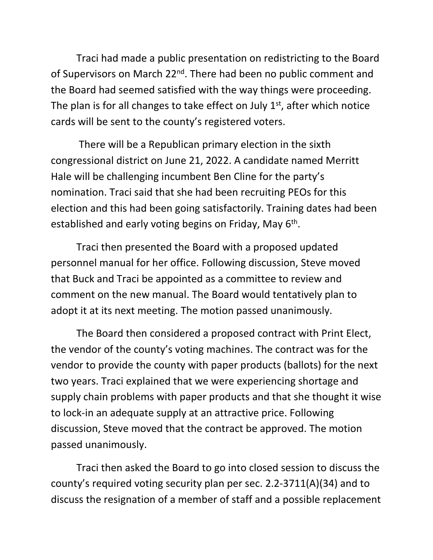Traci had made a public presentation on redistricting to the Board of Supervisors on March 22<sup>nd</sup>. There had been no public comment and the Board had seemed satisfied with the way things were proceeding. The plan is for all changes to take effect on July  $1<sup>st</sup>$ , after which notice cards will be sent to the county's registered voters.

There will be a Republican primary election in the sixth congressional district on June 21, 2022. A candidate named Merritt Hale will be challenging incumbent Ben Cline for the party's nomination. Traci said that she had been recruiting PEOs for this election and this had been going satisfactorily. Training dates had been established and early voting begins on Friday, May  $6<sup>th</sup>$ .

Traci then presented the Board with a proposed updated personnel manual for her office. Following discussion, Steve moved that Buck and Traci be appointed as a committee to review and comment on the new manual. The Board would tentatively plan to adopt it at its next meeting. The motion passed unanimously.

The Board then considered a proposed contract with Print Elect, the vendor of the county's voting machines. The contract was for the vendor to provide the county with paper products (ballots) for the next two years. Traci explained that we were experiencing shortage and supply chain problems with paper products and that she thought it wise to lock-in an adequate supply at an attractive price. Following discussion, Steve moved that the contract be approved. The motion passed unanimously.

Traci then asked the Board to go into closed session to discuss the county's required voting security plan per sec. 2.2-3711(A)(34) and to discuss the resignation of a member of staff and a possible replacement